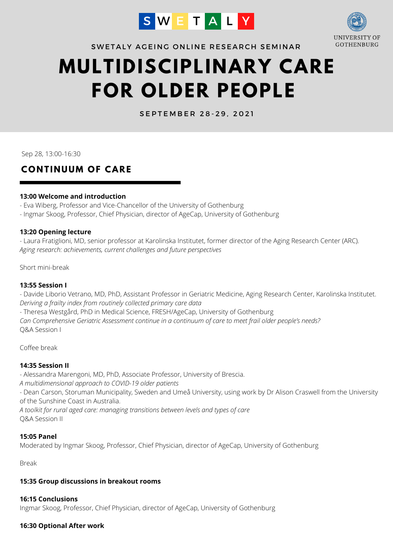



SWETALY AGEING ONLINE RESEARCH SEMINAR

# **MULTIDISCIPLINARY CARE FOR OLDER PEOPLE**

S E P T E M B E R 28 - 29, 2021

Sep 28, 13:00-16:30

# **C O N T I N U UM O F CAR E**

# **13:00 Welcome and introduction**

- Eva Wiberg, Professor and Vice-Chancellor of the University of Gothenburg

- Ingmar Skoog, Professor, Chief Physician, director of AgeCap, University of Gothenburg

#### **13:20 Opening lecture**

- Laura Fratiglioni, MD, senior professor at Karolinska Institutet, former director of the Aging Research Center (ARC). *Aging research: achievements, current challenges and future perspectives*

Short mini-break

# **13:55 Session I**

- Davide Liborio Vetrano, MD, PhD, Assistant Professor in Geriatric Medicine, Aging Research Center, Karolinska Institutet. *Deriving a frailty index from routinely collected primary care data*

- Theresa Westgård, PhD in Medical Science, FRESH/AgeCap, University of Gothenburg *Can Comprehensive Geriatric Assessment continue in a continuum of care to meet frail older people's needs?* Q&A Session I

Coffee break

# **14:35 Session II**

- Alessandra Marengoni, MD, PhD, Associate Professor, University of Brescia.

*A multidimensional approach to COVID-19 older patients*

- Dean Carson, Storuman Municipality, Sweden and Umeå University, using work by Dr Alison Craswell from the University of the Sunshine Coast in Australia.

*A toolkit for rural aged care: managing transitions between levels and types of care* Q&A Session II

# **15:05 Panel**

Moderated by Ingmar Skoog, Professor, Chief Physician, director of AgeCap, University of Gothenburg

Break

# **15:35 Group discussions in breakout rooms**

#### **16:15 Conclusions**

Ingmar Skoog, Professor, Chief Physician, director of AgeCap, University of Gothenburg

#### **16:30 Optional After work**